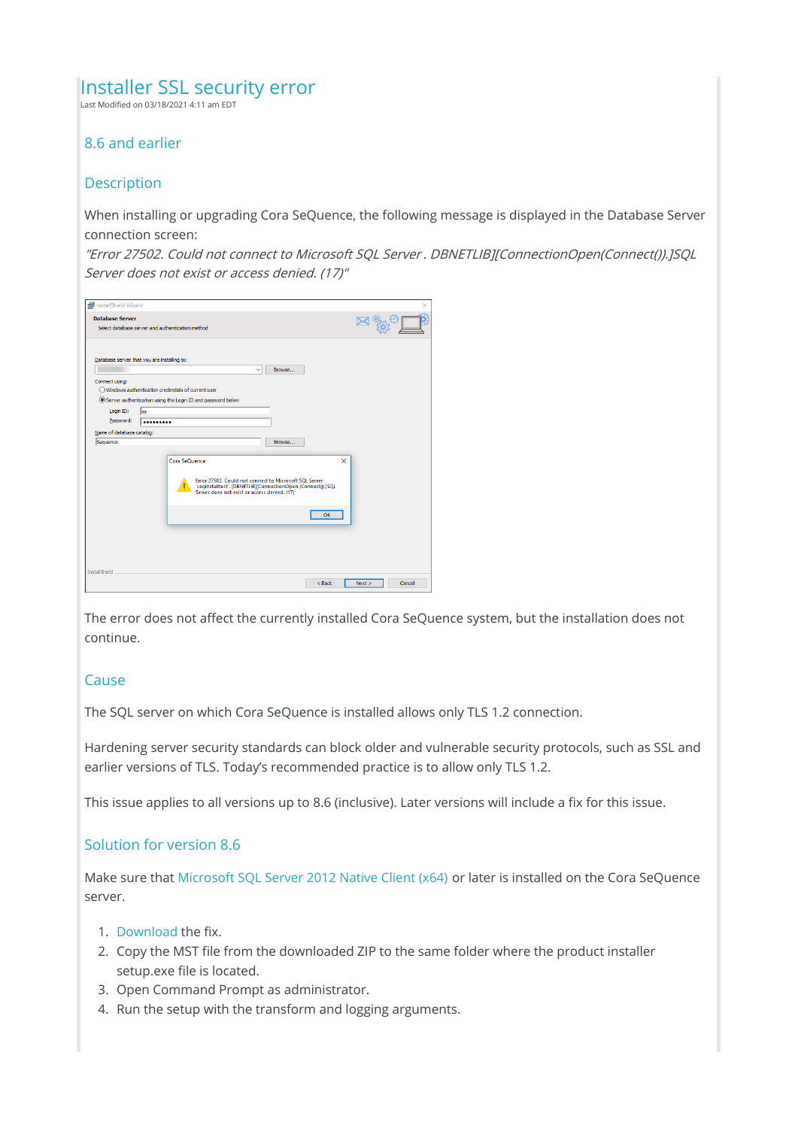# Installer SSL security error

Last Modified on 03/18/2021 4:11 am EDT

### 8.6 and earlier

#### **Description**

When installing or upgrading Cora SeQuence, the following message is displayed in the Database Server connection screen:

"Error 27502. Could not connect to Microsoft SQL Server . DBNETLIB][ConnectionOpen(Connect()).]SQL Server does not exist or access denied. (17)"

| InstallShield Wizard      |                                                                                                              | ×                            |
|---------------------------|--------------------------------------------------------------------------------------------------------------|------------------------------|
|                           |                                                                                                              |                              |
| <b>Database Server</b>    |                                                                                                              |                              |
|                           | Select database server and authentication method                                                             |                              |
|                           |                                                                                                              |                              |
|                           |                                                                                                              |                              |
|                           | Database server that you are installing to:                                                                  |                              |
|                           | Browse<br>$\checkmark$                                                                                       |                              |
| Connect using:            |                                                                                                              |                              |
|                           | $\bigcap$ Windows authentication credentials of current user                                                 |                              |
|                           | Server authentication using the Login ID and password below                                                  |                              |
| Login ID:                 | <b>sa</b>                                                                                                    |                              |
| Password:                 |                                                                                                              |                              |
| Name of database catalog: |                                                                                                              |                              |
| Sequence                  | Browse                                                                                                       |                              |
|                           |                                                                                                              |                              |
|                           | Cora SeQuence                                                                                                | $\times$                     |
|                           |                                                                                                              |                              |
|                           | Error 27502. Could not connect to Microsoft SQL Server                                                       |                              |
|                           | 'seqinstalltest'. [DBNETLIB][ConnectionOpen (Connect()).]SQL<br>Server does not exist or access denied. (17) |                              |
|                           |                                                                                                              |                              |
|                           |                                                                                                              |                              |
|                           |                                                                                                              | OK                           |
|                           |                                                                                                              |                              |
|                           |                                                                                                              |                              |
|                           |                                                                                                              |                              |
|                           |                                                                                                              |                              |
| <b>InstallShield</b>      |                                                                                                              |                              |
|                           |                                                                                                              | $<$ Back<br>Cancel<br>Next > |
|                           |                                                                                                              |                              |
|                           |                                                                                                              |                              |

The error does not affect the currently installed Cora SeQuence system, but the installation does not continue.

#### **Cause**

The SQL server on which Cora SeQuence is installed allows only TLS 1.2 connection.

Hardening server security standards can block older and vulnerable security protocols, such as SSL and earlier versions of TLS. Today's recommended practice is to allow only TLS 1.2.

This issue applies to all versions up to 8.6 (inclusive). Later versions will include a fix for this issue.

## Solution for version 8.6

Make sure that Microsoft SQL Server 2012 Native Client (x64) or later is installed on the Cora SeQuence server.

- 1. Download the fix.
- 2. Copy the MST file from the downloaded ZIP to the same folder where the product installer setup.exe file is located.
- 3. Open Command Prompt as administrator.
- 4. Run the setup with the transform and logging arguments.